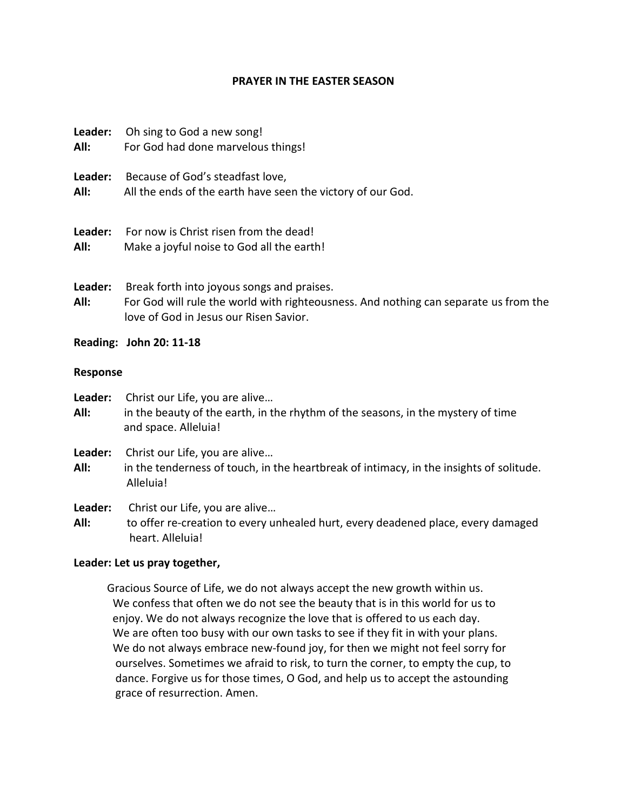## **PRAYER IN THE EASTER SEASON**

| Leader: | Oh sing to God a new song!                                  |
|---------|-------------------------------------------------------------|
| All:    | For God had done marvelous things!                          |
| Leader: | Because of God's steadfast love,                            |
| All:    | All the ends of the earth have seen the victory of our God. |
| Leader: | For now is Christ risen from the dead!                      |
| All:    | Make a joyful noise to God all the earth!                   |
| Leader: | Break forth into joyous songs and praises.                  |

- **All:** For God will rule the world with righteousness. And nothing can separate us from the love of God in Jesus our Risen Savior.
- **Reading: John 20: 11-18**

### **Response**

- **Leader:** Christ our Life, you are alive…
- **All:** in the beauty of the earth, in the rhythm of the seasons, in the mystery of time and space. Alleluia!
- **Leader:** Christ our Life, you are alive…
- **All:** in the tenderness of touch, in the heartbreak of intimacy, in the insights of solitude. Alleluia!
- **Leader:** Christ our Life, you are alive…
- **All:** to offer re-creation to every unhealed hurt, every deadened place, every damaged heart. Alleluia!

# **Leader: Let us pray together,**

Gracious Source of Life, we do not always accept the new growth within us. We confess that often we do not see the beauty that is in this world for us to enjoy. We do not always recognize the love that is offered to us each day. We are often too busy with our own tasks to see if they fit in with your plans. We do not always embrace new-found joy, for then we might not feel sorry for ourselves. Sometimes we afraid to risk, to turn the corner, to empty the cup, to dance. Forgive us for those times, O God, and help us to accept the astounding grace of resurrection. Amen.